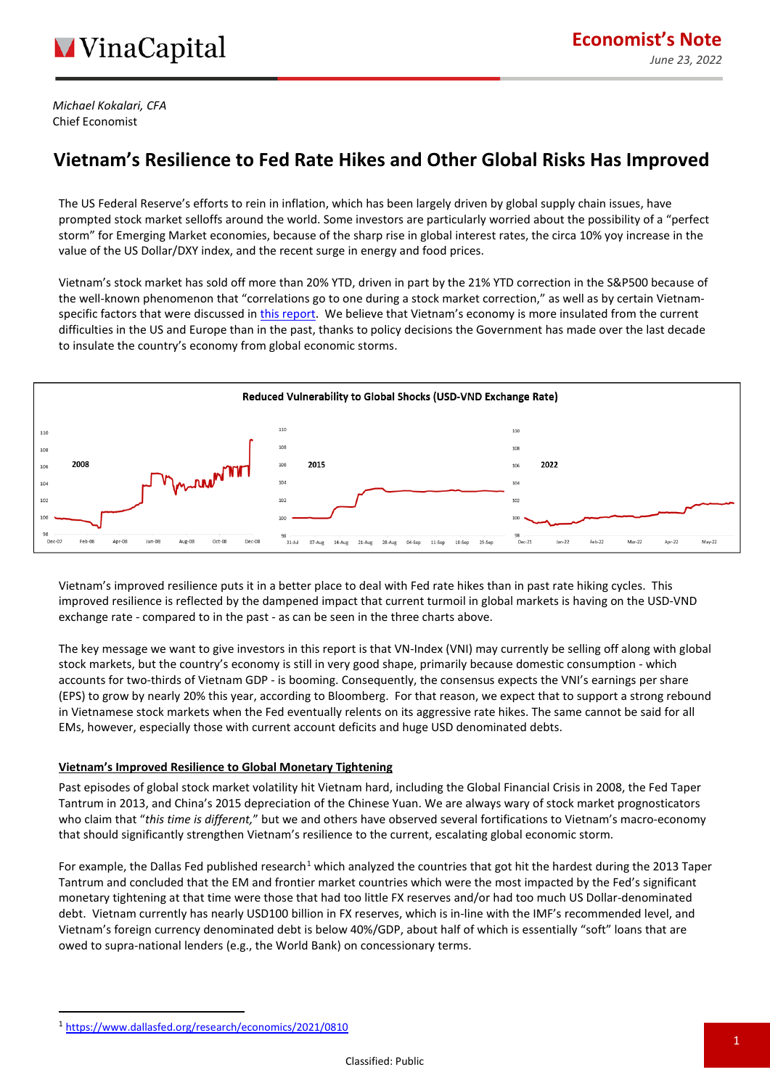*Michael Kokalari, CFA* Chief Economist

## **Vietnam's Resilience to Fed Rate Hikes and Other Global Risks Has Improved**

The US Federal Reserve's efforts to rein in inflation, which has been largely driven by global supply chain issues, have prompted stock market selloffs around the world. Some investors are particularly worried about the possibility of a "perfect storm" for Emerging Market economies, because of the sharp rise in global interest rates, the circa 10% yoy increase in the value of the US Dollar/DXY index, and the recent surge in energy and food prices.

Vietnam's stock market has sold off more than 20% YTD, driven in part by the 21% YTD correction in the S&P500 because of the well-known phenomenon that "correlations go to one during a stock market correction," as well as by certain Vietnamspecific factors that were discussed in [this report.](https://vinacapital.com/wp-content/uploads/2022/05/Vietnam%E2%80%99s-Economy-is-Strong-So-Why-is-the-Stock-Market-Selling-Off.pdf) We believe that Vietnam's economy is more insulated from the current difficulties in the US and Europe than in the past, thanks to policy decisions the Government has made over the last decade to insulate the country's economy from global economic storms.



Vietnam's improved resilience puts it in a better place to deal with Fed rate hikes than in past rate hiking cycles. This improved resilience is reflected by the dampened impact that current turmoil in global markets is having on the USD-VND exchange rate - compared to in the past - as can be seen in the three charts above.

The key message we want to give investors in this report is that VN-Index (VNI) may currently be selling off along with global stock markets, but the country's economy is still in very good shape, primarily because domestic consumption - which accounts for two-thirds of Vietnam GDP - is booming. Consequently, the consensus expects the VNI's earnings per share (EPS) to grow by nearly 20% this year, according to Bloomberg. For that reason, we expect that to support a strong rebound in Vietnamese stock markets when the Fed eventually relents on its aggressive rate hikes. The same cannot be said for all EMs, however, especially those with current account deficits and huge USD denominated debts.

### **Vietnam's Improved Resilience to Global Monetary Tightening**

Past episodes of global stock market volatility hit Vietnam hard, including the Global Financial Crisis in 2008, the Fed Taper Tantrum in 2013, and China's 2015 depreciation of the Chinese Yuan. We are always wary of stock market prognosticators who claim that "*this time is different,*" but we and others have observed several fortifications to Vietnam's macro-economy that should significantly strengthen Vietnam's resilience to the current, escalating global economic storm.

For example, the Dallas Fed published research<sup>[1](#page-0-0)</sup> which analyzed the countries that got hit the hardest during the 2013 Taper Tantrum and concluded that the EM and frontier market countries which were the most impacted by the Fed's significant monetary tightening at that time were those that had too little FX reserves and/or had too much US Dollar-denominated debt. Vietnam currently has nearly USD100 billion in FX reserves, which is in-line with the IMF's recommended level, and Vietnam's foreign currency denominated debt is below 40%/GDP, about half of which is essentially "soft" loans that are owed to supra-national lenders (e.g., the World Bank) on concessionary terms.

<span id="page-0-0"></span><sup>1</sup> <https://www.dallasfed.org/research/economics/2021/0810>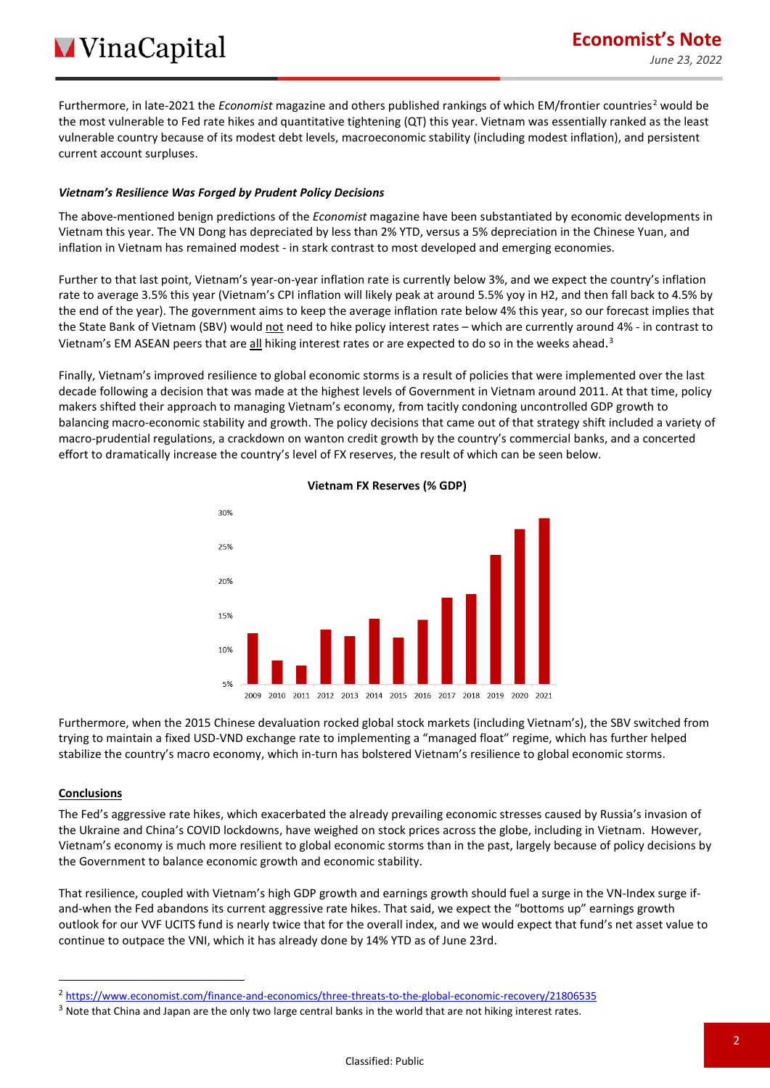Furthermore, in late-[2](#page-1-0)021 the *Economist* magazine and others published rankings of which EM/frontier countries<sup>2</sup> would be the most vulnerable to Fed rate hikes and quantitative tightening (QT) this year. Vietnam was essentially ranked as the least vulnerable country because of its modest debt levels, macroeconomic stability (including modest inflation), and persistent current account surpluses.

#### *Vietnam's Resilience Was Forged by Prudent Policy Decisions*

The above-mentioned benign predictions of the *Economist* magazine have been substantiated by economic developments in Vietnam this year. The VN Dong has depreciated by less than 2% YTD, versus a 5% depreciation in the Chinese Yuan, and inflation in Vietnam has remained modest - in stark contrast to most developed and emerging economies.

Further to that last point, Vietnam's year-on-year inflation rate is currently below 3%, and we expect the country's inflation rate to average 3.5% this year (Vietnam's CPI inflation will likely peak at around 5.5% yoy in H2, and then fall back to 4.5% by the end of the year). The government aims to keep the average inflation rate below 4% this year, so our forecast implies that the State Bank of Vietnam (SBV) would not need to hike policy interest rates - which are currently around 4% - in contrast to Vietnam's EM ASEAN peers that are all hiking interest rates or are expected to do so in the weeks ahead.<sup>[3](#page-1-1)</sup>

Finally, Vietnam's improved resilience to global economic storms is a result of policies that were implemented over the last decade following a decision that was made at the highest levels of Government in Vietnam around 2011. At that time, policy makers shifted their approach to managing Vietnam's economy, from tacitly condoning uncontrolled GDP growth to balancing macro-economic stability and growth. The policy decisions that came out of that strategy shift included a variety of macro-prudential regulations, a crackdown on wanton credit growth by the country's commercial banks, and a concerted effort to dramatically increase the country's level of FX reserves, the result of which can be seen below.



#### **Vietnam FX Reserves (% GDP)**

Furthermore, when the 2015 Chinese devaluation rocked global stock markets (including Vietnam's), the SBV switched from trying to maintain a fixed USD-VND exchange rate to implementing a "managed float" regime, which has further helped stabilize the country's macro economy, which in-turn has bolstered Vietnam's resilience to global economic storms.

#### **Conclusions**

The Fed's aggressive rate hikes, which exacerbated the already prevailing economic stresses caused by Russia's invasion of the Ukraine and China's COVID lockdowns, have weighed on stock prices across the globe, including in Vietnam. However, Vietnam's economy is much more resilient to global economic storms than in the past, largely because of policy decisions by the Government to balance economic growth and economic stability.

That resilience, coupled with Vietnam's high GDP growth and earnings growth should fuel a surge in the VN-Index surge ifand-when the Fed abandons its current aggressive rate hikes. That said, we expect the "bottoms up" earnings growth outlook for our VVF UCITS fund is nearly twice that for the overall index, and we would expect that fund's net asset value to continue to outpace the VNI, which it has already done by 14% YTD as of June 23rd.

<span id="page-1-0"></span><sup>2</sup> <https://www.economist.com/finance-and-economics/three-threats-to-the-global-economic-recovery/21806535>

<span id="page-1-1"></span><sup>&</sup>lt;sup>3</sup> Note that China and Japan are the only two large central banks in the world that are not hiking interest rates.